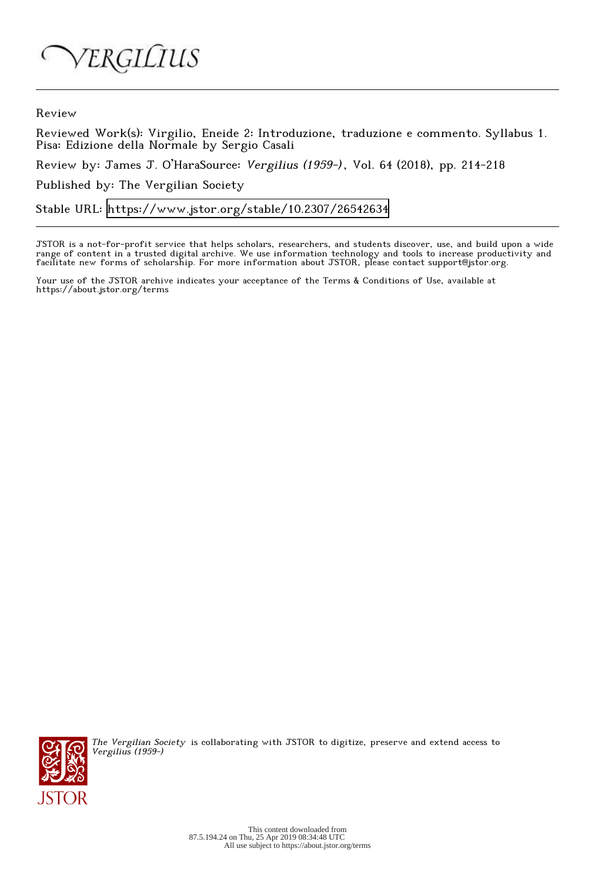ERGILIUS

Review

Reviewed Work(s): Virgilio, Eneide 2: Introduzione, traduzione e commento. Syllabus 1. Pisa: Edizione della Normale by Sergio Casali

Review by: James J. O'HaraSource: Vergilius (1959-), Vol. 64 (2018), pp. 214-218

Published by: The Vergilian Society

Stable URL:<https://www.jstor.org/stable/10.2307/26542634>

JSTOR is a not-for-profit service that helps scholars, researchers, and students discover, use, and build upon a wide range of content in a trusted digital archive. We use information technology and tools to increase productivity and facilitate new forms of scholarship. For more information about JSTOR, please contact support@jstor.org.

Your use of the JSTOR archive indicates your acceptance of the Terms & Conditions of Use, available at https://about.jstor.org/terms



The Vergilian Society is collaborating with JSTOR to digitize, preserve and extend access to Vergilius (1959-)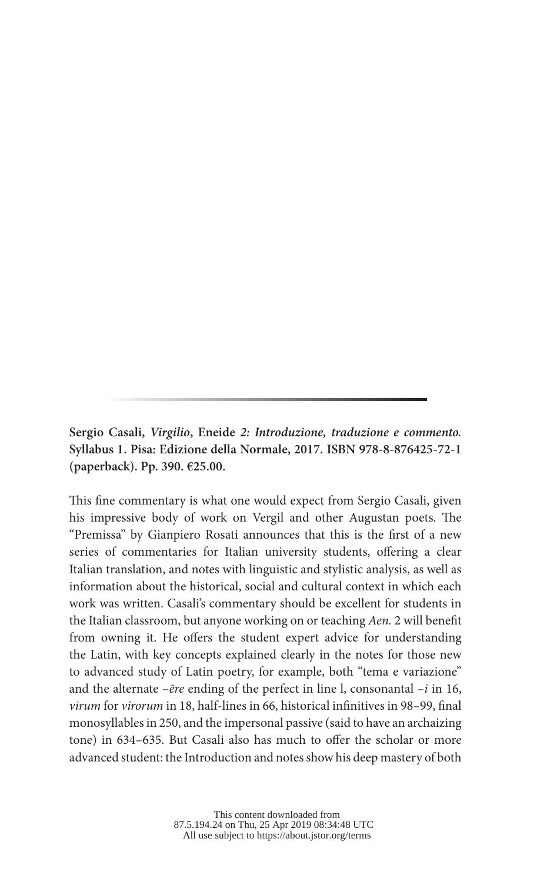**Sergio Casali,** *Virgilio***, Eneide** *2: Introduzione, traduzione e commento.*  **Syllabus 1. Pisa: Edizione della Normale, 2017. ISBN 978-8-876425-72-1 (paperback). Pp. 390. €25.00.**

This fine commentary is what one would expect from Sergio Casali, given his impressive body of work on Vergil and other Augustan poets. The "Premissa" by Gianpiero Rosati announces that this is the first of a new series of commentaries for Italian university students, offering a clear Italian translation, and notes with linguistic and stylistic analysis, as well as information about the historical, social and cultural context in which each work was written. Casali's commentary should be excellent for students in the Italian classroom, but anyone working on or teaching *Aen.* 2 will benefit from owning it. He offers the student expert advice for understanding the Latin, with key concepts explained clearly in the notes for those new to advanced study of Latin poetry, for example, both "tema e variazione" and the alternate –*ēre* ending of the perfect in line l, consonantal –*i* in 16, *virum* for *virorum* in 18, half-lines in 66, historical infinitives in 98–99, final monosyllables in 250, and the impersonal passive (said to have an archaizing tone) in 634–635. But Casali also has much to offer the scholar or more advanced student: the Introduction and notes show his deep mastery of both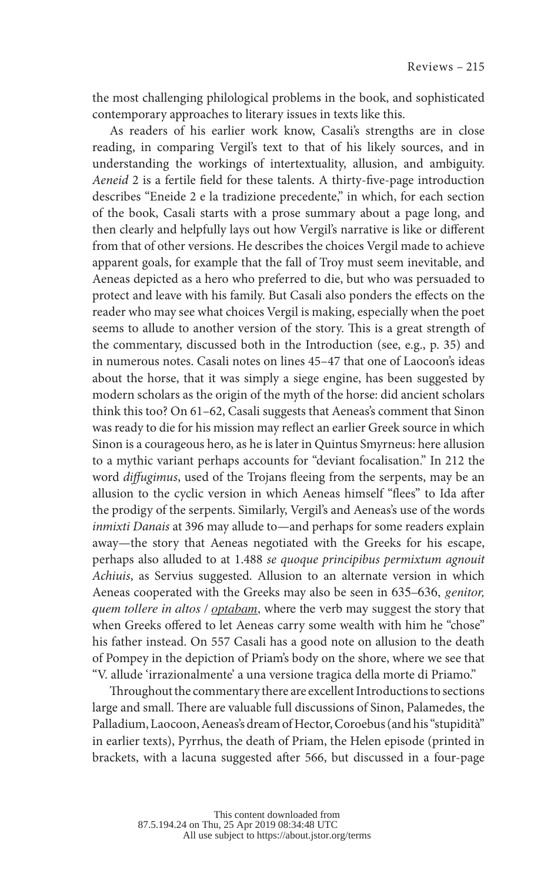the most challenging philological problems in the book, and sophisticated contemporary approaches to literary issues in texts like this.

As readers of his earlier work know, Casali's strengths are in close reading, in comparing Vergil's text to that of his likely sources, and in understanding the workings of intertextuality, allusion, and ambiguity. *Aeneid* 2 is a fertile field for these talents. A thirty-five-page introduction describes "Eneide 2 e la tradizione precedente," in which, for each section of the book, Casali starts with a prose summary about a page long, and then clearly and helpfully lays out how Vergil's narrative is like or different from that of other versions. He describes the choices Vergil made to achieve apparent goals, for example that the fall of Troy must seem inevitable, and Aeneas depicted as a hero who preferred to die, but who was persuaded to protect and leave with his family. But Casali also ponders the effects on the reader who may see what choices Vergil is making, especially when the poet seems to allude to another version of the story. This is a great strength of the commentary, discussed both in the Introduction (see, e.g., p. 35) and in numerous notes. Casali notes on lines 45–47 that one of Laocoon's ideas about the horse, that it was simply a siege engine, has been suggested by modern scholars as the origin of the myth of the horse: did ancient scholars think this too? On 61–62, Casali suggests that Aeneas's comment that Sinon was ready to die for his mission may reflect an earlier Greek source in which Sinon is a courageous hero, as he is later in Quintus Smyrneus: here allusion to a mythic variant perhaps accounts for "deviant focalisation." In 212 the word *diffugimus*, used of the Trojans fleeing from the serpents, may be an allusion to the cyclic version in which Aeneas himself "flees" to Ida after the prodigy of the serpents. Similarly, Vergil's and Aeneas's use of the words *inmixti Danais* at 396 may allude to—and perhaps for some readers explain away—the story that Aeneas negotiated with the Greeks for his escape, perhaps also alluded to at 1.488 *se quoque principibus permixtum agnouit Achiuis*, as Servius suggested. Allusion to an alternate version in which Aeneas cooperated with the Greeks may also be seen in 635–636, *genitor, quem tollere in altos / optabam*, where the verb may suggest the story that when Greeks offered to let Aeneas carry some wealth with him he "chose" his father instead. On 557 Casali has a good note on allusion to the death of Pompey in the depiction of Priam's body on the shore, where we see that "V. allude 'irrazionalmente' a una versione tragica della morte di Priamo."

Throughout the commentary there are excellent Introductions to sections large and small. There are valuable full discussions of Sinon, Palamedes, the Palladium, Laocoon, Aeneas's dream of Hector, Coroebus (and his "stupidità" in earlier texts), Pyrrhus, the death of Priam, the Helen episode (printed in brackets, with a lacuna suggested after 566, but discussed in a four-page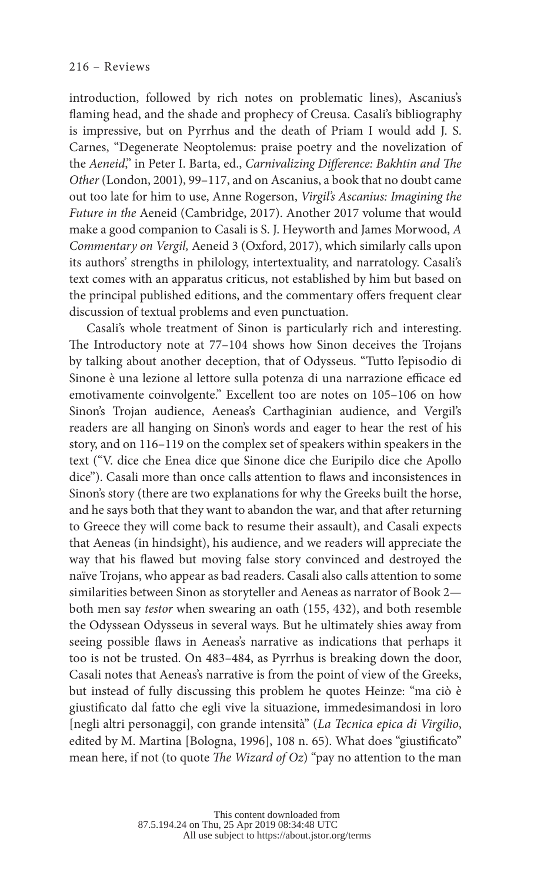introduction, followed by rich notes on problematic lines), Ascanius's flaming head, and the shade and prophecy of Creusa. Casali's bibliography is impressive, but on Pyrrhus and the death of Priam I would add J. S. Carnes, "Degenerate Neoptolemus: praise poetry and the novelization of the *Aeneid*," in Peter I. Barta, ed., *Carnivalizing Difference: Bakhtin and The Other* (London, 2001), 99–117, and on Ascanius, a book that no doubt came out too late for him to use, Anne Rogerson, *Virgil's Ascanius: Imagining the Future in the* Aeneid (Cambridge, 2017). Another 2017 volume that would make a good companion to Casali is S. J. Heyworth and James Morwood, *A Commentary on Vergil,* Aeneid 3 (Oxford, 2017), which similarly calls upon its authors' strengths in philology, intertextuality, and narratology. Casali's text comes with an apparatus criticus, not established by him but based on the principal published editions, and the commentary offers frequent clear discussion of textual problems and even punctuation.

Casali's whole treatment of Sinon is particularly rich and interesting. The Introductory note at 77–104 shows how Sinon deceives the Trojans by talking about another deception, that of Odysseus. "Tutto l'episodio di Sinone è una lezione al lettore sulla potenza di una narrazione efficace ed emotivamente coinvolgente." Excellent too are notes on 105–106 on how Sinon's Trojan audience, Aeneas's Carthaginian audience, and Vergil's readers are all hanging on Sinon's words and eager to hear the rest of his story, and on 116–119 on the complex set of speakers within speakers in the text ("V. dice che Enea dice que Sinone dice che Euripilo dice che Apollo dice"). Casali more than once calls attention to flaws and inconsistences in Sinon's story (there are two explanations for why the Greeks built the horse, and he says both that they want to abandon the war, and that after returning to Greece they will come back to resume their assault), and Casali expects that Aeneas (in hindsight), his audience, and we readers will appreciate the way that his flawed but moving false story convinced and destroyed the naïve Trojans, who appear as bad readers. Casali also calls attention to some similarities between Sinon as storyteller and Aeneas as narrator of Book 2 both men say *testor* when swearing an oath (155, 432), and both resemble the Odyssean Odysseus in several ways. But he ultimately shies away from seeing possible flaws in Aeneas's narrative as indications that perhaps it too is not be trusted. On 483–484, as Pyrrhus is breaking down the door, Casali notes that Aeneas's narrative is from the point of view of the Greeks, but instead of fully discussing this problem he quotes Heinze: "ma ciò è giustificato dal fatto che egli vive la situazione, immedesimandosi in loro [negli altri personaggi], con grande intensità" (*La Tecnica epica di Virgilio*, edited by M. Martina [Bologna, 1996], 108 n. 65). What does "giustificato" mean here, if not (to quote *The Wizard of Oz*) "pay no attention to the man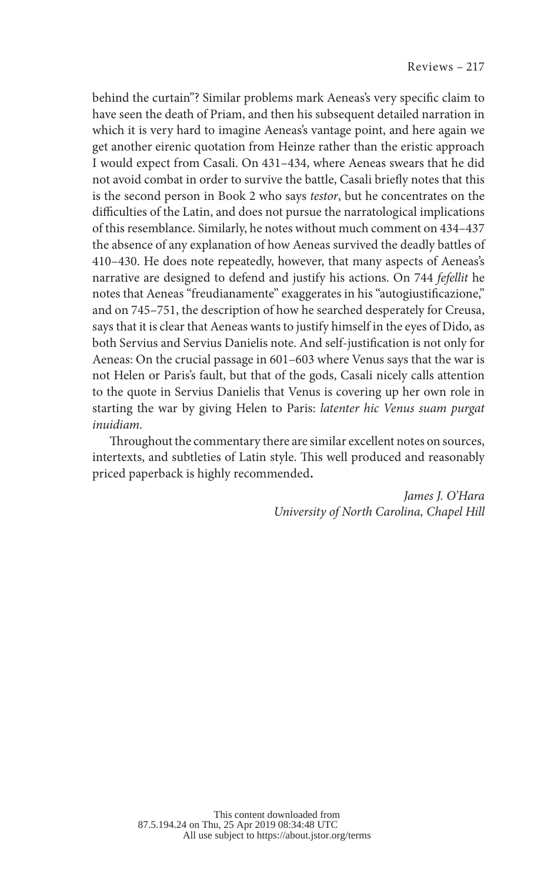behind the curtain"? Similar problems mark Aeneas's very specific claim to have seen the death of Priam, and then his subsequent detailed narration in which it is very hard to imagine Aeneas's vantage point, and here again we get another eirenic quotation from Heinze rather than the eristic approach I would expect from Casali. On 431–434, where Aeneas swears that he did not avoid combat in order to survive the battle, Casali briefly notes that this is the second person in Book 2 who says *testor*, but he concentrates on the difficulties of the Latin, and does not pursue the narratological implications of this resemblance. Similarly, he notes without much comment on 434–437 the absence of any explanation of how Aeneas survived the deadly battles of 410–430. He does note repeatedly, however, that many aspects of Aeneas's narrative are designed to defend and justify his actions. On 744 *fefellit* he notes that Aeneas "freudianamente" exaggerates in his "autogiustificazione," and on 745–751, the description of how he searched desperately for Creusa, says that it is clear that Aeneas wants to justify himself in the eyes of Dido, as both Servius and Servius Danielis note. And self-justification is not only for Aeneas: On the crucial passage in 601–603 where Venus says that the war is not Helen or Paris's fault, but that of the gods, Casali nicely calls attention to the quote in Servius Danielis that Venus is covering up her own role in starting the war by giving Helen to Paris: *latenter hic Venus suam purgat inuidiam*.

Throughout the commentary there are similar excellent notes on sources, intertexts, and subtleties of Latin style. This well produced and reasonably priced paperback is highly recommended.

> *James J. O'Hara University of North Carolina, Chapel Hill*